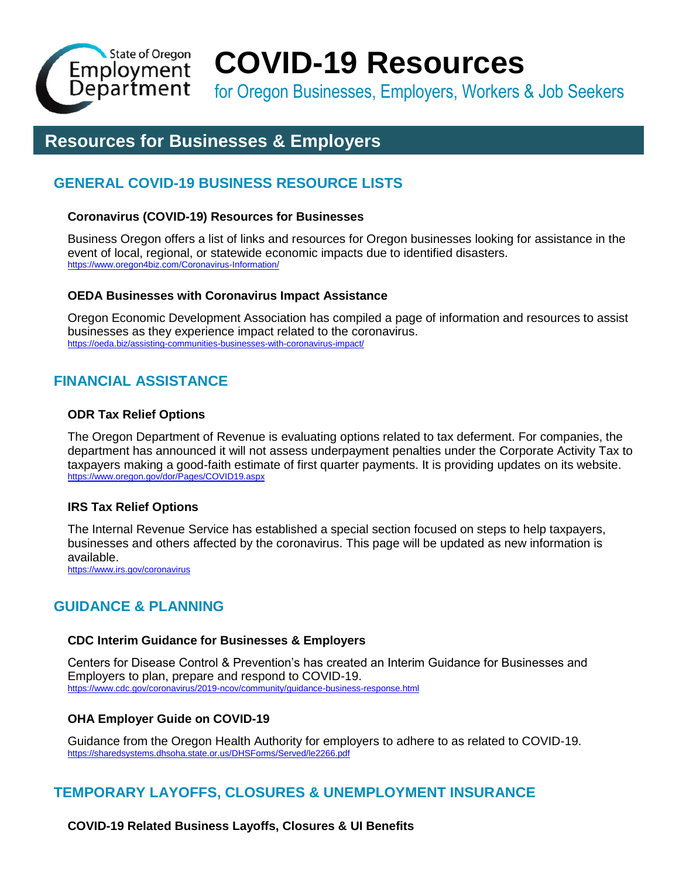

# **COVID-19 Resources**

for Oregon Businesses, Employers, Workers & Job Seekers

# **Resources for Businesses & Employers**

# **GENERAL COVID-19 BUSINESS RESOURCE LISTS**

# **Coronavirus (COVID-19) Resources for Businesses**

Business Oregon offers a list of links and resources for Oregon businesses looking for assistance in the event of local, regional, or statewide economic impacts due to identified disasters. <https://www.oregon4biz.com/Coronavirus-Information/>

# **OEDA Businesses with Coronavirus Impact Assistance**

Oregon Economic Development Association has compiled a page of information and resources to assist businesses as they experience impact related to the coronavirus. <https://oeda.biz/assisting-communities-businesses-with-coronavirus-impact/>

# **FINANCIAL ASSISTANCE**

# **ODR Tax Relief Options**

The Oregon Department of Revenue is evaluating options related to tax deferment. For companies, the department has announced it will not assess underpayment penalties under the Corporate Activity Tax to taxpayers making a good-faith estimate of first quarter payments. It is providing updates on its website. <https://www.oregon.gov/dor/Pages/COVID19.aspx>

# **IRS Tax Relief Options**

The Internal Revenue Service has established a special section focused on steps to help taxpayers, businesses and others affected by the coronavirus. This page will be updated as new information is available.

<https://www.irs.gov/coronavirus>

# **GUIDANCE & PLANNING**

# **CDC Interim Guidance for Businesses & Employers**

Centers for Disease Control & Prevention's has created an Interim Guidance for Businesses and Employers to plan, prepare and respond to COVID-19. <https://www.cdc.gov/coronavirus/2019-ncov/community/guidance-business-response.html>

# **OHA Employer Guide on COVID-19**

Guidance from the Oregon Health Authority for employers to adhere to as related to COVID-19. <https://sharedsystems.dhsoha.state.or.us/DHSForms/Served/le2266.pdf>

# **TEMPORARY LAYOFFS, CLOSURES & UNEMPLOYMENT INSURANCE**

**COVID-19 Related Business Layoffs, Closures & UI Benefits**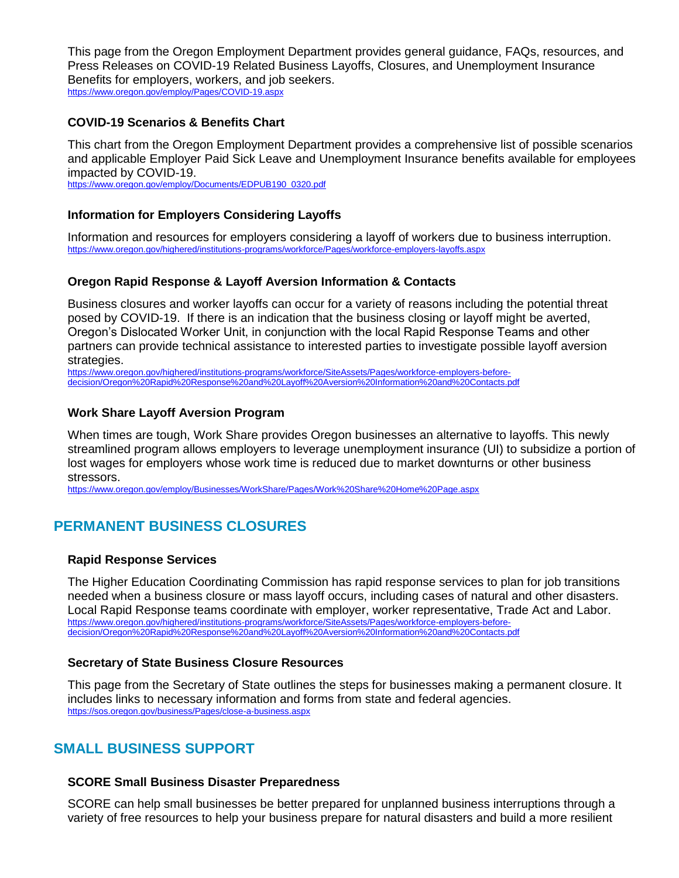This page from the Oregon Employment Department provides general guidance, FAQs, resources, and Press Releases on COVID-19 Related Business Layoffs, Closures, and Unemployment Insurance Benefits for employers, workers, and job seekers. <https://www.oregon.gov/employ/Pages/COVID-19.aspx>

# **COVID-19 Scenarios & Benefits Chart**

This chart from the Oregon Employment Department provides a comprehensive list of possible scenarios and applicable Employer Paid Sick Leave and Unemployment Insurance benefits available for employees impacted by COVID-19.

[https://www.oregon.gov/employ/Documents/EDPUB190\\_0320.pdf](https://www.oregon.gov/employ/Documents/EDPUB190_0320.pdf)

# **Information for Employers Considering Layoffs**

Information and resources for employers considering a layoff of workers due to business interruption. <https://www.oregon.gov/highered/institutions-programs/workforce/Pages/workforce-employers-layoffs.aspx>

# **Oregon Rapid Response & Layoff Aversion Information & Contacts**

Business closures and worker layoffs can occur for a variety of reasons including the potential threat posed by COVID-19. If there is an indication that the business closing or layoff might be averted, Oregon's Dislocated Worker Unit, in conjunction with the local Rapid Response Teams and other partners can provide technical assistance to interested parties to investigate possible layoff aversion strategies.

[https://www.oregon.gov/highered/institutions-programs/workforce/SiteAssets/Pages/workforce-employers-before](https://www.oregon.gov/highered/institutions-programs/workforce/SiteAssets/Pages/workforce-employers-before-decision/Oregon%20Rapid%20Response%20and%20Layoff%20Aversion%20Information%20and%20Contacts.pdf)[decision/Oregon%20Rapid%20Response%20and%20Layoff%20Aversion%20Information%20and%20Contacts.pdf](https://www.oregon.gov/highered/institutions-programs/workforce/SiteAssets/Pages/workforce-employers-before-decision/Oregon%20Rapid%20Response%20and%20Layoff%20Aversion%20Information%20and%20Contacts.pdf)

## **Work Share Layoff Aversion Program**

When times are tough, Work Share provides Oregon businesses an alternative to layoffs. This newly streamlined program allows employers to leverage unemployment insurance (UI) to subsidize a portion of lost wages for employers whose work time is reduced due to market downturns or other business stressors.

<https://www.oregon.gov/employ/Businesses/WorkShare/Pages/Work%20Share%20Home%20Page.aspx>

# **PERMANENT BUSINESS CLOSURES**

## **Rapid Response Services**

The Higher Education Coordinating Commission has rapid response services to plan for job transitions needed when a business closure or mass layoff occurs, including cases of natural and other disasters. Local Rapid Response teams coordinate with employer, worker representative, Trade Act and Labor. [https://www.oregon.gov/highered/institutions-programs/workforce/SiteAssets/Pages/workforce-employers-before](https://www.oregon.gov/highered/institutions-programs/workforce/SiteAssets/Pages/workforce-employers-before-decision/Oregon%20Rapid%20Response%20and%20Layoff%20Aversion%20Information%20and%20Contacts.pdf)[decision/Oregon%20Rapid%20Response%20and%20Layoff%20Aversion%20Information%20and%20Contacts.pdf](https://www.oregon.gov/highered/institutions-programs/workforce/SiteAssets/Pages/workforce-employers-before-decision/Oregon%20Rapid%20Response%20and%20Layoff%20Aversion%20Information%20and%20Contacts.pdf)

# **Secretary of State Business Closure Resources**

This page from the Secretary of State outlines the steps for businesses making a permanent closure. It includes links to necessary information and forms from state and federal agencies. <https://sos.oregon.gov/business/Pages/close-a-business.aspx>

# **SMALL BUSINESS SUPPORT**

## **SCORE Small Business Disaster Preparedness**

SCORE can help small businesses be better prepared for unplanned business interruptions through a variety of free resources to help your business prepare for natural disasters and build a more resilient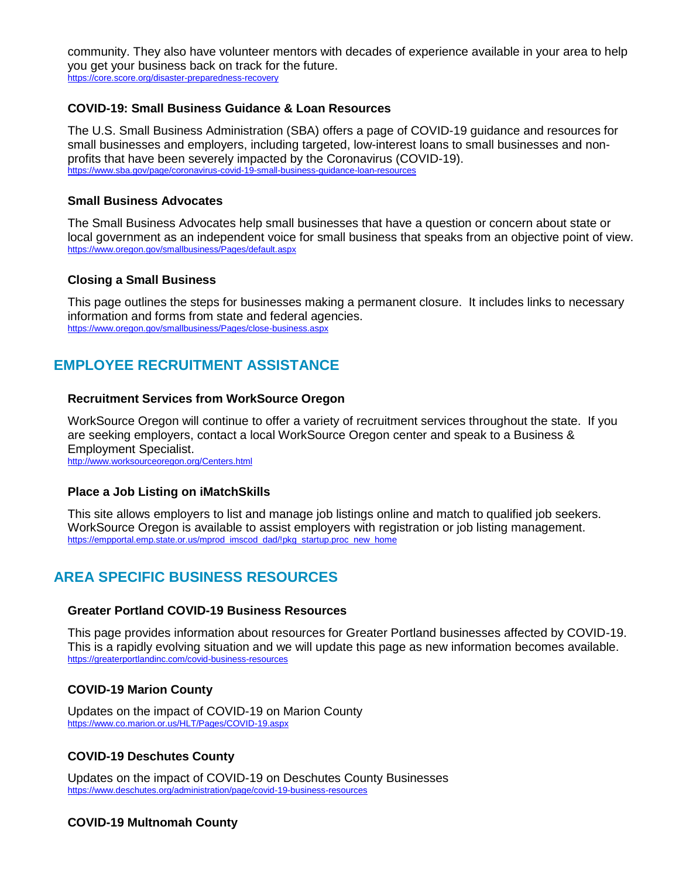community. They also have volunteer mentors with decades of experience available in your area to help you get your business back on track for the future. <https://core.score.org/disaster-preparedness-recovery>

## **COVID-19: Small Business Guidance & Loan Resources**

The U.S. Small Business Administration (SBA) offers a page of COVID-19 guidance and resources for small businesses and employers, including targeted, low-interest loans to small businesses and nonprofits that have been severely impacted by the Coronavirus (COVID-19). <https://www.sba.gov/page/coronavirus-covid-19-small-business-guidance-loan-resources>

## **Small Business Advocates**

The Small Business Advocates help small businesses that have a question or concern about state or local government as an independent voice for small business that speaks from an objective point of view. <https://www.oregon.gov/smallbusiness/Pages/default.aspx>

# **Closing a Small Business**

This page outlines the steps for businesses making a permanent closure. It includes links to necessary information and forms from state and federal agencies. <https://www.oregon.gov/smallbusiness/Pages/close-business.aspx>

# **EMPLOYEE RECRUITMENT ASSISTANCE**

## **Recruitment Services from WorkSource Oregon**

WorkSource Oregon will continue to offer a variety of recruitment services throughout the state. If you are seeking employers, contact a local WorkSource Oregon center and speak to a Business & Employment Specialist.

<http://www.worksourceoregon.org/Centers.html>

## **Place a Job Listing on iMatchSkills**

This site allows employers to list and manage job listings online and match to qualified job seekers. WorkSource Oregon is available to assist employers with registration or job listing management. [https://empportal.emp.state.or.us/mprod\\_imscod\\_dad/!pkg\\_startup.proc\\_new\\_home](https://empportal.emp.state.or.us/mprod_imscod_dad/!pkg_startup.proc_new_home)

# **AREA SPECIFIC BUSINESS RESOURCES**

## **Greater Portland COVID-19 Business Resources**

This page provides information about resources for Greater Portland businesses affected by COVID-19. This is a rapidly evolving situation and we will update this page as new information becomes available. <https://greaterportlandinc.com/covid-business-resources>

# **COVID-19 Marion County**

Updates on the impact of COVID-19 on Marion County <https://www.co.marion.or.us/HLT/Pages/COVID-19.aspx>

# **COVID-19 Deschutes County**

Updates on the impact of COVID-19 on Deschutes County Businesses <https://www.deschutes.org/administration/page/covid-19-business-resources>

# **COVID-19 Multnomah County**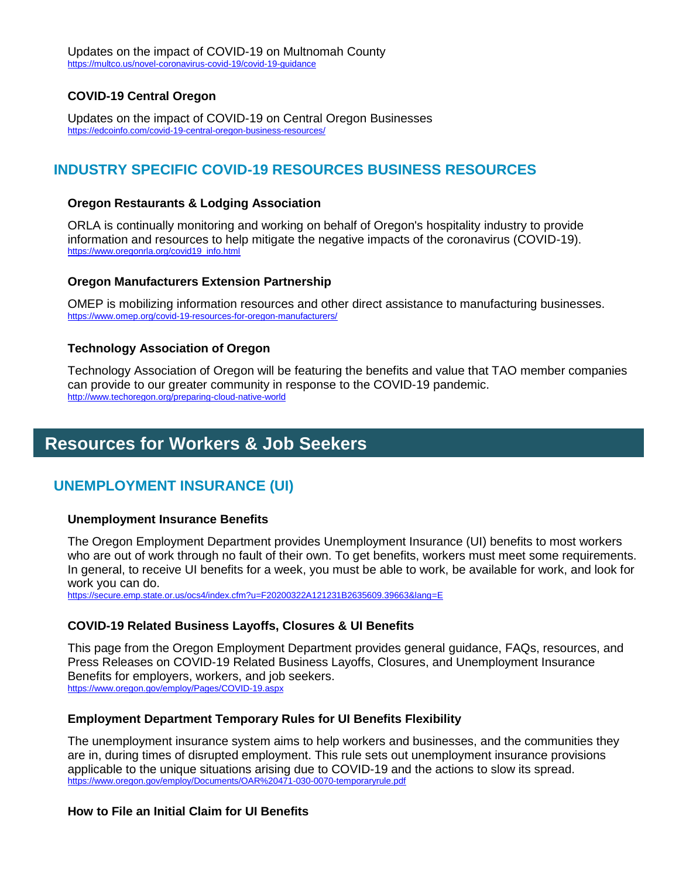# **COVID-19 Central Oregon**

Updates on the impact of COVID-19 on Central Oregon Businesses <https://edcoinfo.com/covid-19-central-oregon-business-resources/>

# **INDUSTRY SPECIFIC COVID-19 RESOURCES BUSINESS RESOURCES**

#### **Oregon Restaurants & Lodging Association**

ORLA is continually monitoring and working on behalf of Oregon's hospitality industry to provide information and resources to help mitigate the negative impacts of the coronavirus (COVID-19). [https://www.oregonrla.org/covid19\\_info.html](https://www.oregonrla.org/covid19_info.html)

#### **Oregon Manufacturers Extension Partnership**

OMEP is mobilizing information resources and other direct assistance to manufacturing businesses. <https://www.omep.org/covid-19-resources-for-oregon-manufacturers/>

#### **Technology Association of Oregon**

Technology Association of Oregon will be featuring the benefits and value that TAO member companies can provide to our greater community in response to the COVID-19 pandemic. <http://www.techoregon.org/preparing-cloud-native-world>

# **Resources for Workers & Job Seekers**

# **UNEMPLOYMENT INSURANCE (UI)**

#### **Unemployment Insurance Benefits**

The Oregon Employment Department provides Unemployment Insurance (UI) benefits to most workers who are out of work through no fault of their own. To get benefits, workers must meet some requirements. In general, to receive UI benefits for a week, you must be able to work, be available for work, and look for work you can do.

<https://secure.emp.state.or.us/ocs4/index.cfm?u=F20200322A121231B2635609.39663&lang=E>

## **COVID-19 Related Business Layoffs, Closures & UI Benefits**

This page from the Oregon Employment Department provides general guidance, FAQs, resources, and Press Releases on COVID-19 Related Business Layoffs, Closures, and Unemployment Insurance Benefits for employers, workers, and job seekers. <https://www.oregon.gov/employ/Pages/COVID-19.aspx>

## **Employment Department Temporary Rules for UI Benefits Flexibility**

The unemployment insurance system aims to help workers and businesses, and the communities they are in, during times of disrupted employment. This rule sets out unemployment insurance provisions applicable to the unique situations arising due to COVID-19 and the actions to slow its spread. <https://www.oregon.gov/employ/Documents/OAR%20471-030-0070-temporaryrule.pdf>

## **How to File an Initial Claim for UI Benefits**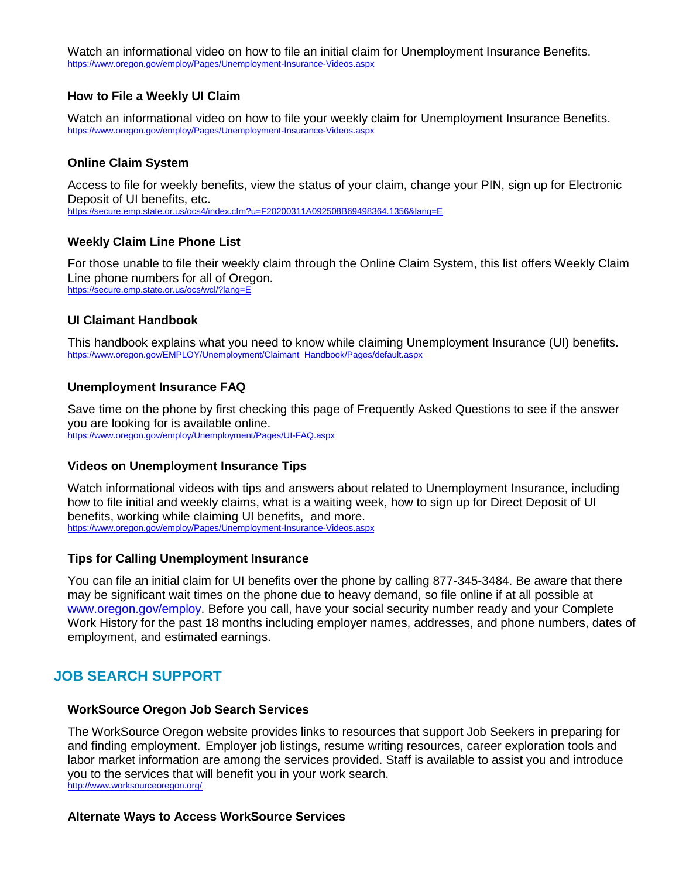Watch an informational video on how to file an initial claim for Unemployment Insurance Benefits. <https://www.oregon.gov/employ/Pages/Unemployment-Insurance-Videos.aspx>

## **How to File a Weekly UI Claim**

Watch an informational video on how to file your weekly claim for Unemployment Insurance Benefits. <https://www.oregon.gov/employ/Pages/Unemployment-Insurance-Videos.aspx>

## **Online Claim System**

Access to file for weekly benefits, view the status of your claim, change your PIN, sign up for Electronic Deposit of UI benefits, etc. <https://secure.emp.state.or.us/ocs4/index.cfm?u=F20200311A092508B69498364.1356&lang=E>

# **Weekly Claim Line Phone List**

For those unable to file their weekly claim through the Online Claim System, this list offers Weekly Claim Line phone numbers for all of Oregon. <https://secure.emp.state.or.us/ocs/wcl/?lang=E>

# **UI Claimant Handbook**

This handbook explains what you need to know while claiming Unemployment Insurance (UI) benefits. [https://www.oregon.gov/EMPLOY/Unemployment/Claimant\\_Handbook/Pages/default.aspx](https://www.oregon.gov/EMPLOY/Unemployment/Claimant_Handbook/Pages/default.aspx)

## **Unemployment Insurance FAQ**

Save time on the phone by first checking this page of Frequently Asked Questions to see if the answer you are looking for is available online. <https://www.oregon.gov/employ/Unemployment/Pages/UI-FAQ.aspx>

## **Videos on Unemployment Insurance Tips**

Watch informational videos with tips and answers about related to Unemployment Insurance, including how to file initial and weekly claims, what is a waiting week, how to sign up for Direct Deposit of UI benefits, working while claiming UI benefits, and more. <https://www.oregon.gov/employ/Pages/Unemployment-Insurance-Videos.aspx>

## **Tips for Calling Unemployment Insurance**

You can file an initial claim for UI benefits over the phone by calling 877-345-3484. Be aware that there may be significant wait times on the phone due to heavy demand, so file online if at all possible at [www.oregon.gov/employ.](http://www.oregon.gov/employ) Before you call, have your social security number ready and your Complete Work History for the past 18 months including employer names, addresses, and phone numbers, dates of employment, and estimated earnings.

# **JOB SEARCH SUPPORT**

## **WorkSource Oregon Job Search Services**

The WorkSource Oregon website provides links to resources that support Job Seekers in preparing for and finding employment. Employer job listings, resume writing resources, career exploration tools and labor market information are among the services provided. Staff is available to assist you and introduce you to the services that will benefit you in your work search. <http://www.worksourceoregon.org/>

## **Alternate Ways to Access WorkSource Services**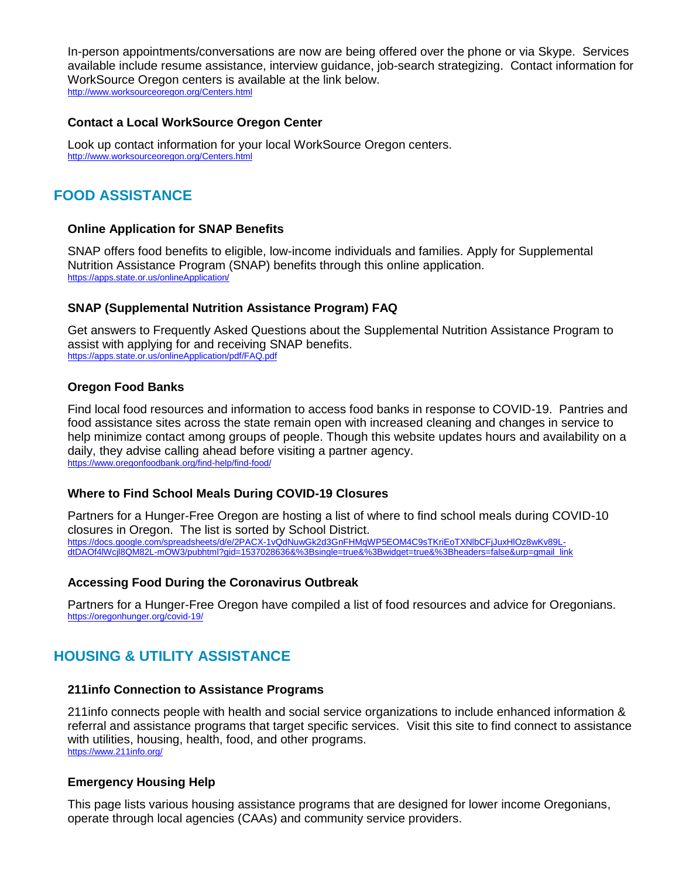In-person appointments/conversations are now are being offered over the phone or via Skype. Services available include resume assistance, interview guidance, job-search strategizing. Contact information for WorkSource Oregon centers is available at the link below. <http://www.worksourceoregon.org/Centers.html>

# **Contact a Local WorkSource Oregon Center**

Look up contact information for your local WorkSource Oregon centers. <http://www.worksourceoregon.org/Centers.html>

# **FOOD ASSISTANCE**

# **Online Application for SNAP Benefits**

SNAP offers food benefits to eligible, low-income individuals and families. Apply for Supplemental Nutrition Assistance Program (SNAP) benefits through this online application. <https://apps.state.or.us/onlineApplication/>

# **SNAP (Supplemental Nutrition Assistance Program) FAQ**

Get answers to Frequently Asked Questions about the Supplemental Nutrition Assistance Program to assist with applying for and receiving SNAP benefits. <https://apps.state.or.us/onlineApplication/pdf/FAQ.pdf>

# **Oregon Food Banks**

Find local food resources and information to access food banks in response to COVID-19. Pantries and food assistance sites across the state remain open with increased cleaning and changes in service to help minimize contact among groups of people. Though this website updates hours and availability on a daily, they advise calling ahead before visiting a partner agency. <https://www.oregonfoodbank.org/find-help/find-food/>

## **Where to Find School Meals During COVID-19 Closures**

Partners for a Hunger-Free Oregon are hosting a list of where to find school meals during COVID-10 closures in Oregon. The list is sorted by School District. [https://docs.google.com/spreadsheets/d/e/2PACX-1vQdNuwGk2d3GnFHMqWP5EOM4C9sTKriEoTXNlbCFjJuxHlOz8wKv89L](https://docs.google.com/spreadsheets/d/e/2PACX-1vQdNuwGk2d3GnFHMqWP5EOM4C9sTKriEoTXNlbCFjJuxHlOz8wKv89L-dtDAOf4lWcjl8QM82L-mOW3/pubhtml?gid=1537028636&%3Bsingle=true&%3Bwidget=true&%3Bheaders=false&urp=gmail_link)[dtDAOf4lWcjl8QM82L-mOW3/pubhtml?gid=1537028636&%3Bsingle=true&%3Bwidget=true&%3Bheaders=false&urp=gmail\\_link](https://docs.google.com/spreadsheets/d/e/2PACX-1vQdNuwGk2d3GnFHMqWP5EOM4C9sTKriEoTXNlbCFjJuxHlOz8wKv89L-dtDAOf4lWcjl8QM82L-mOW3/pubhtml?gid=1537028636&%3Bsingle=true&%3Bwidget=true&%3Bheaders=false&urp=gmail_link)

# **Accessing Food During the Coronavirus Outbreak**

Partners for a Hunger-Free Oregon have compiled a list of food resources and advice for Oregonians. <https://oregonhunger.org/covid-19/>

# **HOUSING & UTILITY ASSISTANCE**

## **211info Connection to Assistance Programs**

211info connects people with health and social service organizations to include enhanced information & referral and assistance programs that target specific services. Visit this site to find connect to assistance with utilities, housing, health, food, and other programs. <https://www.211info.org/>

## **Emergency Housing Help**

This page lists various housing assistance programs that are designed for lower income Oregonians, operate through local agencies (CAAs) and community service providers.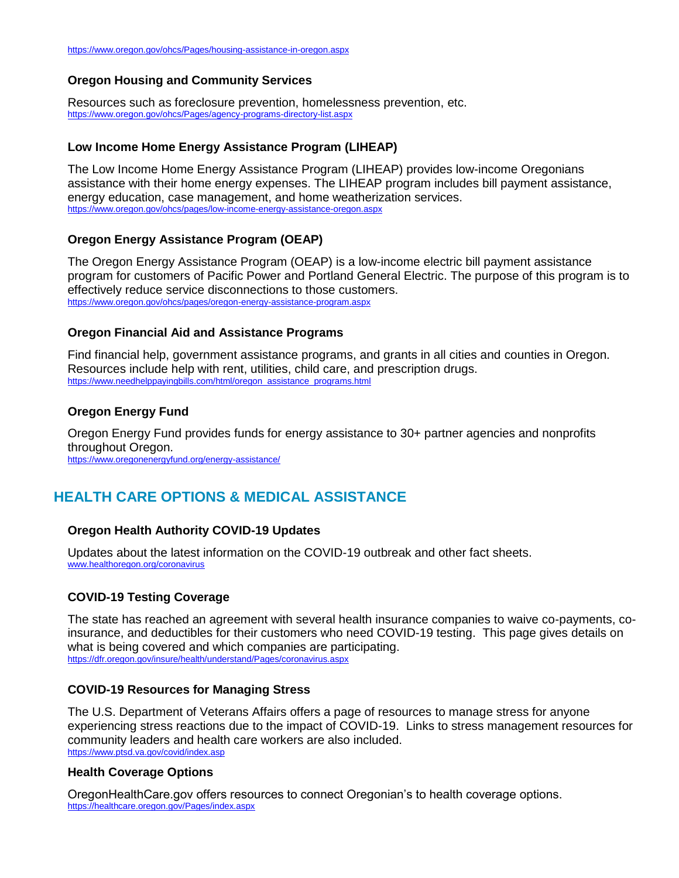# **Oregon Housing and Community Services**

Resources such as foreclosure prevention, homelessness prevention, etc. <https://www.oregon.gov/ohcs/Pages/agency-programs-directory-list.aspx>

## **Low Income Home Energy Assistance Program (LIHEAP)**

The Low Income Home Energy Assistance Program (LIHEAP) provides low-income Oregonians assistance with their home energy expenses. The LIHEAP program includes bill payment assistance, energy education, case management, and home weatherization services. <https://www.oregon.gov/ohcs/pages/low-income-energy-assistance-oregon.aspx>

## **Oregon Energy Assistance Program (OEAP)**

The Oregon Energy Assistance Program (OEAP) is a low-income electric bill payment assistance program for customers of Pacific Power and Portland General Electric. The purpose of this program is to effectively reduce service disconnections to those customers. <https://www.oregon.gov/ohcs/pages/oregon-energy-assistance-program.aspx>

## **Oregon Financial Aid and Assistance Programs**

Find financial help, government assistance programs, and grants in all cities and counties in Oregon. Resources include help with rent, utilities, child care, and prescription drugs. [https://www.needhelppayingbills.com/html/oregon\\_assistance\\_programs.html](https://www.needhelppayingbills.com/html/oregon_assistance_programs.html)

# **Oregon Energy Fund**

Oregon Energy Fund provides funds for energy assistance to 30+ partner agencies and nonprofits throughout Oregon.

<https://www.oregonenergyfund.org/energy-assistance/>

# **HEALTH CARE OPTIONS & MEDICAL ASSISTANCE**

## **Oregon Health Authority COVID-19 Updates**

Updates about the latest information on the COVID-19 outbreak and other fact sheets. [www.healthoregon.org/coronavirus](http://www.healthoregon.org/coronavirus)

## **COVID-19 Testing Coverage**

The state has reached an agreement with several health insurance companies to waive co-payments, coinsurance, and deductibles for their customers who need COVID-19 testing. This page gives details on what is being covered and which companies are participating. <https://dfr.oregon.gov/insure/health/understand/Pages/coronavirus.aspx>

## **COVID-19 Resources for Managing Stress**

The U.S. Department of Veterans Affairs offers a page of resources to manage stress for anyone experiencing stress reactions due to the impact of COVID-19. Links to stress management resources for community leaders and health care workers are also included. <https://www.ptsd.va.gov/covid/index.asp>

## **Health Coverage Options**

OregonHealthCare.gov offers resources to connect Oregonian's to health coverage options. <https://healthcare.oregon.gov/Pages/index.aspx>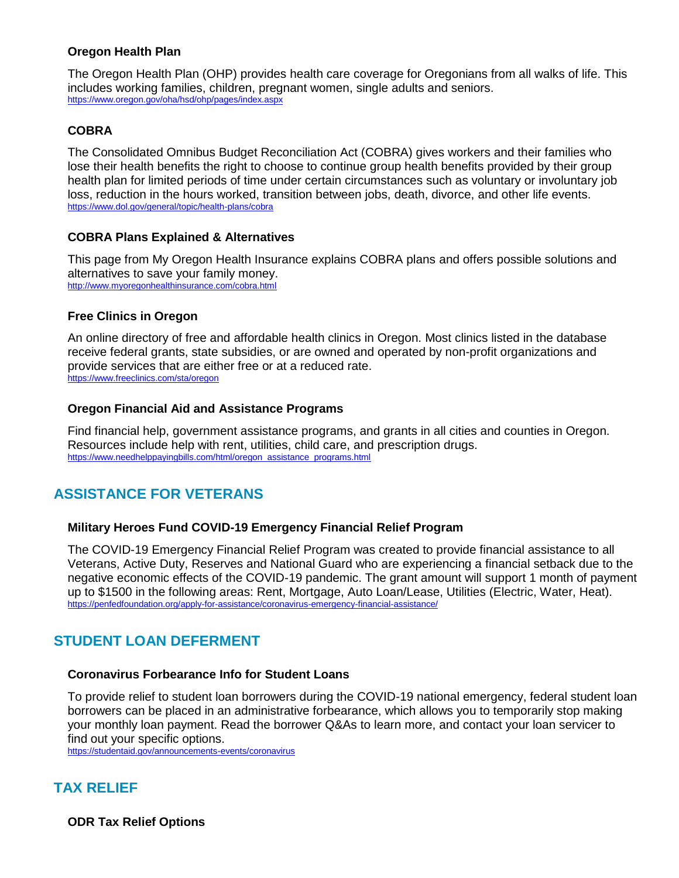# **Oregon Health Plan**

The Oregon Health Plan (OHP) provides health care coverage for Oregonians from all walks of life. This includes working families, children, pregnant women, single adults and seniors. <https://www.oregon.gov/oha/hsd/ohp/pages/index.aspx>

# **COBRA**

The Consolidated Omnibus Budget Reconciliation Act (COBRA) gives workers and their families who lose their health benefits the right to choose to continue group health benefits provided by their group health plan for limited periods of time under certain circumstances such as voluntary or involuntary job loss, reduction in the hours worked, transition between jobs, death, divorce, and other life events. <https://www.dol.gov/general/topic/health-plans/cobra>

## **COBRA Plans Explained & Alternatives**

This page from My Oregon Health Insurance explains COBRA plans and offers possible solutions and alternatives to save your family money. <http://www.myoregonhealthinsurance.com/cobra.html>

## **Free Clinics in Oregon**

An online directory of free and affordable health clinics in Oregon. Most clinics listed in the database receive federal grants, state subsidies, or are owned and operated by non-profit organizations and provide services that are either free or at a reduced rate. <https://www.freeclinics.com/sta/oregon>

## **Oregon Financial Aid and Assistance Programs**

Find financial help, government assistance programs, and grants in all cities and counties in Oregon. Resources include help with rent, utilities, child care, and prescription drugs. [https://www.needhelppayingbills.com/html/oregon\\_assistance\\_programs.html](https://www.needhelppayingbills.com/html/oregon_assistance_programs.html)

# **ASSISTANCE FOR VETERANS**

## **Military Heroes Fund COVID-19 Emergency Financial Relief Program**

The COVID-19 Emergency Financial Relief Program was created to provide financial assistance to all Veterans, Active Duty, Reserves and National Guard who are experiencing a financial setback due to the negative economic effects of the COVID-19 pandemic. The grant amount will support 1 month of payment up to \$1500 in the following areas: Rent, Mortgage, Auto Loan/Lease, Utilities (Electric, Water, Heat). <https://penfedfoundation.org/apply-for-assistance/coronavirus-emergency-financial-assistance/>

# **STUDENT LOAN DEFERMENT**

## **Coronavirus Forbearance Info for Student Loans**

To provide relief to student loan borrowers during the COVID-19 national emergency, federal student loan borrowers can be placed in an administrative forbearance, which allows you to temporarily stop making your monthly loan payment. Read the borrower Q&As to learn more, and contact your loan servicer to find out your specific options.

<https://studentaid.gov/announcements-events/coronavirus>

# **TAX RELIEF**

**ODR Tax Relief Options**